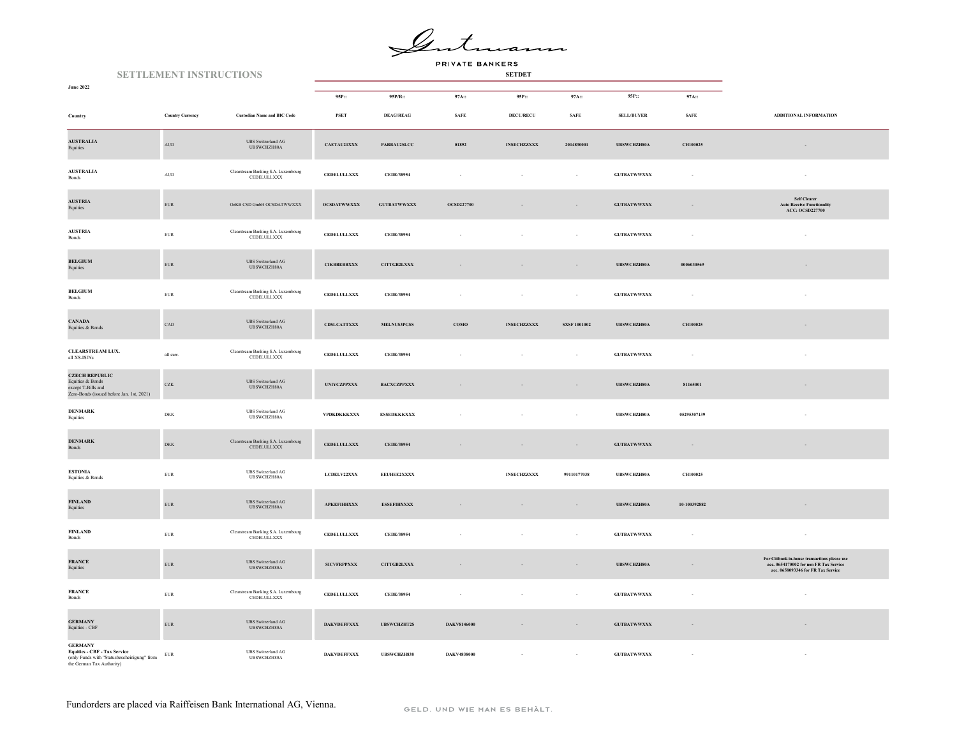$\mathscr{Q}_{\mathcal{A}}$ 

PRIVATE BANKERS

| <b>SETTLEMENT INSTRUCTIONS</b>                                                                                                   |                                  |                                                                                                                      |                    |                    |                    |                    |                          |                    |              |                                                                                                                               |
|----------------------------------------------------------------------------------------------------------------------------------|----------------------------------|----------------------------------------------------------------------------------------------------------------------|--------------------|--------------------|--------------------|--------------------|--------------------------|--------------------|--------------|-------------------------------------------------------------------------------------------------------------------------------|
| <b>June 2022</b>                                                                                                                 |                                  |                                                                                                                      | 95P::              | 95P/R::            | 97A::              | 95P::              | 97A::                    | 95P::              | 97A::        |                                                                                                                               |
| Country                                                                                                                          | <b>Country Currency</b>          | <b>Custodian Name and BIC Code</b>                                                                                   | <b>PSET</b>        | <b>DEAG/REAG</b>   | <b>SAFE</b>        | <b>DECU/RECU</b>   | SAFE                     | <b>SELL/BUYER</b>  | <b>SAFE</b>  | ADDITIONAL INFORMATION                                                                                                        |
| <b>AUSTRALIA</b><br>Equities                                                                                                     | $\mbox{\rm AUD}$                 | <b>UBS</b> Switzerland AG<br>UBSWCHZH80A                                                                             | CAETAU21XXX        | PARBAU2SLCC        | 01892              | <b>INSECHZZXXX</b> | 2014830001               | UBSWCHZH80A        | CH100025     | $\overline{\phantom{a}}$                                                                                                      |
| <b>AUSTRALIA</b><br>Bonds                                                                                                        | $\mathbf{A}\mathbf{U}\mathbf{D}$ | Clearstream Banking S.A. Luxembourg<br>CEDELULLXXX                                                                   | CEDELULLXXX        | CEDE/38954         |                    |                    | $\epsilon$               | <b>GUTBATWWXXX</b> |              | ×                                                                                                                             |
| <b>AUSTRIA</b><br>Equities                                                                                                       | ${\rm EUR}$                      | OeKB CSD GmbH OCSDATWWXXX                                                                                            | <b>OCSDATWWXXX</b> | <b>GUTBATWWXXX</b> | <b>OCSD227700</b>  |                    | $\sim$                   | <b>GUTBATWWXXX</b> |              | Self Clearer<br><b>Auto Receive Functionality</b><br><b>ACC: OCSD227700</b>                                                   |
| <b>AUSTRIA</b><br>$\mathbf{Bonds}$                                                                                               | ${\rm EUR}$                      | Clearstream Banking S.A. Luxembourg<br>CEDELULLXXX                                                                   | CEDELULLXXX        | CEDE/38954         |                    |                    | $\sim$                   | <b>GUTBATWWXXX</b> |              |                                                                                                                               |
| <b>BELGIUM</b><br>Equities                                                                                                       | ${\rm EUR}$                      | UBS Switzerland AG<br>UBSWCHZH80A                                                                                    | <b>CIKBBEBBXXX</b> | CITTGB2LXXX        |                    |                    | $\overline{\phantom{a}}$ | UBSWCHZH80A        | 0006030569   |                                                                                                                               |
| <b>BELGIUM</b><br>Bonds                                                                                                          | ${\rm EUR}$                      | Clearstream Banking S.A. Luxembourg<br>CEDELULLXXX                                                                   | <b>CEDELULLXXX</b> | CEDE/38954         |                    |                    | $\ddot{\phantom{a}}$     | <b>GUTBATWWXXX</b> |              |                                                                                                                               |
| <b>CANADA</b><br>Equities & Bonds                                                                                                | $_{\rm CAD}$                     | <b>UBS</b> Switzerland AG<br>UBSWCHZH80A                                                                             | <b>CDSLCATTXXX</b> | MELNUS3PGSS        | COMO               | <b>INSECHZZXXX</b> | <b>SXSF 1001002</b>      | UBSWCHZH80A        | CH100025     |                                                                                                                               |
| <b>CLEARSTREAM LUX.</b><br>all XS-ISINs                                                                                          | all curr.                        | $\begin{minipage}{.4\linewidth} \textbf{Clearstream Banking S.A. Luxembourg} \\ \textbf{CEDELULLXXX} \end{minipage}$ | <b>CEDELULLXXX</b> | CEDE/38954         |                    |                    |                          | <b>GUTBATWWXXX</b> |              |                                                                                                                               |
| <b>CZECH REPUBLIC</b><br>Equities & Bonds<br>except T-Bills and<br>Zero-Bonds (issued before Jan. 1st, 2021)                     | ${\rm CZK}$                      | <b>UBS</b> Switzerland AG<br>UBSWCHZH80A                                                                             | <b>UNIYCZPPXXX</b> | BACXCZPPXXX        |                    |                    |                          | UBSWCHZH80A        | 81165001     |                                                                                                                               |
| <b>DENMARK</b><br>Equities                                                                                                       | DKK                              | <b>UBS</b> Switzerland AG<br>UBSWCHZH80A                                                                             | VPDKDKKKXXX        | <b>ESSEDKKKXXX</b> |                    |                    |                          | UBSWCHZH80A        | 05295307139  |                                                                                                                               |
| <b>DENMARK</b><br>Bonds                                                                                                          | ${\rm DKK}$                      | $\begin{minipage}{.4\linewidth} \textbf{Clearstream Banking S.A. Luxembourg} \\ \textbf{CEDELULLXXX} \end{minipage}$ | <b>CEDELULLXXX</b> | CEDE/38954         |                    |                    | $\overline{\phantom{a}}$ | <b>GUTBATWWXXX</b> | $\sim$       | $\overline{\phantom{a}}$                                                                                                      |
| <b>ESTONIA</b><br>Equities & Bonds                                                                                               | ${\rm EUR}$                      | UBS Switzerland AG<br>UBSWCHZH80A                                                                                    | LCDELV22XXX        | EEUHEE2XXXX        |                    | <b>INSECHZZXXX</b> | 99110177038              | UBSWCHZH80A        | CH100025     |                                                                                                                               |
| FINLAND<br>Equities                                                                                                              | ${\rm EUR}$                      | $\ensuremath{\mathsf{UBS}}$ Switzerland $\ensuremath{\mathsf{AG}}$<br>UBSWCHZH80A                                    | <b>APKEFIHHXXX</b> | <b>ESSEFIHXXXX</b> |                    | $\sim$             | $\sim$                   | <b>UBSWCHZH80A</b> | 10-100392882 |                                                                                                                               |
| <b>FINLAND</b><br>Bonds                                                                                                          | ${\rm EUR}$                      | Clearstream Banking S.A. Luxembourg<br>${\tt CEDELULLXXX}$                                                           | <b>CEDELULLXXX</b> | CEDE/38954         |                    |                    | $\sim$                   | <b>GUTBATWWXXX</b> |              | $\epsilon$                                                                                                                    |
| <b>FRANCE</b><br>Equities                                                                                                        | ${\rm EUR}$                      | <b>UBS</b> Switzerland AG<br>UBSWCHZH80A                                                                             | <b>SICVFRPPXXX</b> | CITTGB2LXXX        |                    |                    | $\overline{\phantom{a}}$ | <b>UBSWCHZH80A</b> |              | For Citibank in-house transactions please use<br>acc. 0654170002 for non FR Tax Service<br>acc. 0658093346 for FR Tax Service |
| <b>FRANCE</b><br>Bonds                                                                                                           | ${\rm EUR}$                      | Clearstream Banking S.A. Luxembourg<br>CEDELULLXXX                                                                   | <b>CEDELULLXXX</b> | CEDE/38954         |                    |                    |                          | <b>GUTBATWWXXX</b> |              |                                                                                                                               |
| <b>GERMANY</b><br>Equities - CBF                                                                                                 | ${\rm EUR}$                      | <b>UBS</b> Switzerland AG<br>UBSWCHZH80A                                                                             | <b>DAKVDEFFXXX</b> | <b>UBSWCHZHT2S</b> | DAKV8146000        |                    |                          | <b>GUTBATWWXXX</b> |              |                                                                                                                               |
| <b>GERMANY</b><br><b>Equities - CBF - Tax Service</b><br>$($ nly Funds with "Statusbescheinigung" from the German Tax Authority) | ${\rm EUR}$                      | <b>UBS</b> Switzerland AG<br>UBSWCHZH80A                                                                             | <b>DAKVDEFFXXX</b> | <b>UBSWCHZH838</b> | <b>DAKV4838000</b> |                    |                          | <b>GUTBATWWXXX</b> |              |                                                                                                                               |

Fundorders are placed via Raiffeisen Bank International AG, Vienna.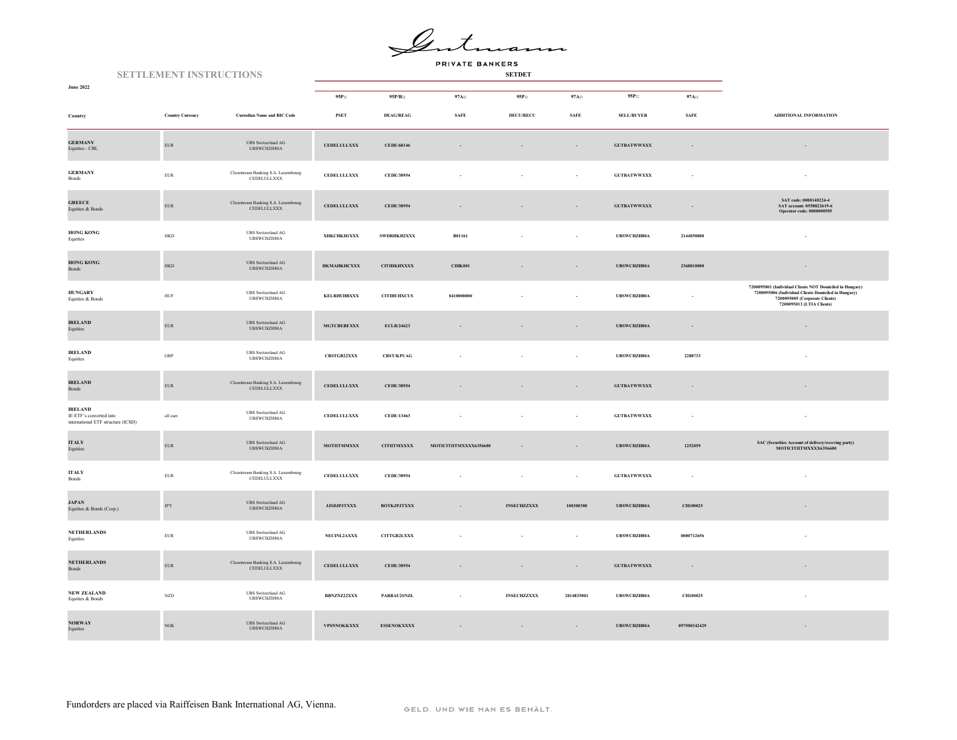$\mathscr{L}.$ 

PRIVATE BANKERS

|                                                                                 | <b>SETTLEMENT INSTRUCTIONS</b> |                         |                                                                                                                      |                     |                    |                        |                    |                          |                     |              |                                                                                                                                                                                 |
|---------------------------------------------------------------------------------|--------------------------------|-------------------------|----------------------------------------------------------------------------------------------------------------------|---------------------|--------------------|------------------------|--------------------|--------------------------|---------------------|--------------|---------------------------------------------------------------------------------------------------------------------------------------------------------------------------------|
| <b>June 2022</b>                                                                |                                |                         |                                                                                                                      | 95P::               | 95P/R::            | 97A::                  | 95P::              | 97A::                    | 95P::               | 97A::        |                                                                                                                                                                                 |
| Country                                                                         |                                | <b>Country Currency</b> | <b>Custodian Name and BIC Code</b>                                                                                   | <b>PSET</b>         | <b>DEAG/REAG</b>   | <b>SAFE</b>            | <b>DECU/RECU</b>   | <b>SAFE</b>              | <b>SELL/BUYER</b>   | <b>SAFE</b>  | ADDITIONAL INFORMATION                                                                                                                                                          |
| <b>GERMANY</b><br>Equities - CBL                                                |                                | ${\rm EUR}$             | <b>UBS</b> Switzerland AG<br>UBSWCHZH80A                                                                             | <b>CEDELULLXXX</b>  | CEDE/68146         | $\sim$                 | $\sim$             | $\sim$                   | <b>GUTBATWWXXX</b>  | $\sim$       |                                                                                                                                                                                 |
| <b>GERMANY</b><br>Bonds                                                         |                                | ${\rm EUR}$             | Clearstream Banking S.A. Luxembourg<br>CEDELULLXXX                                                                   | <b>CEDELULLXXX</b>  | CEDE/38954         |                        |                    | ÷                        | <b>GUTBATWWXXX</b>  |              |                                                                                                                                                                                 |
| <b>GREECE</b><br>Equities & Bonds                                               |                                | ${\rm EUR}$             | Clearstream Banking S.A. Luxembourg<br>CEDELULLXXX                                                                   | <b>CEDELULLXXX</b>  | CEDE/38954         |                        |                    | $\overline{\phantom{a}}$ | <b>GUTBATWWXXX</b>  |              | SAT code: 0000140224-4<br>SAT account: 0558822619-6<br>Operator code: 0000000505                                                                                                |
| <b>HONG KONG</b><br>Equities                                                    |                                | ${\rm HKD}$             | <b>UBS</b> Switzerland AG<br>UBSWCHZH80A                                                                             | <b>XHKCHKH1XXX</b>  | SWDRHKH2XXX        | B01161                 |                    |                          | UBSWCHZH80A         | 2144850800   |                                                                                                                                                                                 |
| <b>HONG KONG</b><br>Bonds                                                       |                                | <b>HKD</b>              | <b>UBS</b> Switzerland AG<br>UBSWCHZH80A                                                                             | <b>HKMAHKHCXXX</b>  | <b>CITIHKHXXXX</b> | <b>CIHK001</b>         |                    | $\overline{\phantom{a}}$ | UBSWCHZH80A         | 2368810000   |                                                                                                                                                                                 |
| <b>HUNGARY</b><br>Equities & Bonds                                              |                                | ${\tt HUF}$             | <b>UBS</b> Switzerland AG<br>UBSWCHZH80A                                                                             | KELRHUHBXXX         | <b>CITIHUHXCUS</b> | 0410000000             |                    |                          | UBSWCHZH80A         |              | 7200095001 (Individual Clients NOT Domiciled in Hungary)<br>7200095006 (Individual Clients Domiciled in Hungary)<br>7200095005 (Corporate Clients)<br>7200095013 (LTIA Clients) |
| <b>IRELAND</b><br>Equities                                                      |                                | ${\rm EUR}$             | <b>UBS</b> Switzerland AG<br>UBSWCHZH80A                                                                             | <b>MGTCBEBEXXX</b>  | ECLR/24623         |                        |                    | $\sim$                   | UBSWCHZH80A         | $\sim$       | $\sim$                                                                                                                                                                          |
| <b>IRELAND</b><br>Equities                                                      |                                | $_{\rm GBP}$            | <b>UBS</b> Switzerland AG<br>UBSWCHZH80A                                                                             | <b>CRSTGB22XXX</b>  | <b>CRST/KPUAG</b>  |                        |                    |                          | UBSWCHZH80A         | 2288733      |                                                                                                                                                                                 |
| <b>IRELAND</b><br>Bonds                                                         |                                | ${\rm EUR}$             | $\begin{minipage}{.4\linewidth} \textbf{Clearstream Banking S.A. Luxembourg} \\ \textbf{CEDELULLXXX} \end{minipage}$ | <b>CEDELULLXXX</b>  | CEDE/38954         |                        |                    |                          | ${\tt GUTBATWWXXX}$ |              |                                                                                                                                                                                 |
| <b>IRELAND</b><br>IE ETF's converted into<br>international ETF structure (ICSD) |                                | all curr.               | <b>UBS</b> Switzerland AG<br>UBSWCHZH80A                                                                             | <b>CEDELULLXXX</b>  | CEDE/13463         |                        |                    | $\overline{\phantom{a}}$ | ${\tt GUTBATWWXXX}$ | $\sim$       |                                                                                                                                                                                 |
| <b>ITALY</b><br>Equities                                                        |                                | ${\rm EUR}$             | $\ensuremath{\mathsf{UBS}}$ Switzerland $\ensuremath{\mathsf{AG}}$<br>UBSWCHZH80A                                    | <b>MOTHTMMXXX</b>   | <b>CITIITMXXXX</b> | MOTICITIITMXXXX6356600 |                    | $\cdot$                  | UBSWCHZH80A         | 1252059      | SAC (Securities Account of delivery/receving party)<br>MOTICITIITMXXXX6356600                                                                                                   |
| <b>ITALY</b><br>Bonds                                                           |                                | ${\rm EUR}$             | Clearstream Banking S.A. Luxembourg<br>CEDELULLXXX                                                                   | <b>CEDELULLXXX</b>  | CEDE/38954         |                        |                    | $\overline{\phantom{a}}$ | <b>GUTBATWWXXX</b>  | $\sim$       |                                                                                                                                                                                 |
| <b>JAPAN</b><br>Equities & Bonds (Corp.)                                        |                                | <b>JPY</b>              | <b>UBS</b> Switzerland AG<br>UBSWCHZH80A                                                                             | ${\bf JJSDJPJTXXX}$ | <b>BOTKJPJTXXX</b> |                        | <b>INSECHZZXXX</b> | 100300300                | UBSWCHZH80A         | CH100025     |                                                                                                                                                                                 |
| <b>NETHERLANDS</b><br>Equities                                                  |                                | ${\rm EUR}$             | <b>UBS</b> Switzerland AG<br>UBSWCHZH80A                                                                             | NECINL2AXXX         | <b>CITTGB2LXXX</b> |                        |                    | $\overline{\phantom{a}}$ | UBSWCHZH80A         | 0000712656   |                                                                                                                                                                                 |
| <b>NETHERLANDS</b><br><b>Bonds</b>                                              |                                | ${\rm EUR}$             | Clearstream Banking S.A. Luxembourg<br>CEDELULLXXX                                                                   | <b>CEDELULLXXX</b>  | CEDE/38954         |                        |                    | $\overline{\phantom{a}}$ | <b>GUTBATWWXXX</b>  | $\sim$       |                                                                                                                                                                                 |
| <b>NEW ZEALAND</b><br>Equities & Bonds                                          |                                | <b>NZD</b>              | <b>UBS</b> Switzerland AG<br>UBSWCHZH80A                                                                             | RBNZNZ22XXX         | PARBAU2SNZL        | ×                      | <b>INSECHZZXXX</b> | 2014835001               | UBSWCHZH80A         | CH100025     |                                                                                                                                                                                 |
| $\bf{N} \bf{O} \bf{R} \bf{W} \bf{A} \bf{Y}$<br>Equities                         |                                | $_{\mathrm{NOK}}$       | <b>UBS</b> Switzerland AG<br>URSWCHZH80A                                                                             | VPSNNOKKXXX         | <b>ESSENOKXXXX</b> |                        |                    |                          | UBSWCHZH80A         | 097500342429 |                                                                                                                                                                                 |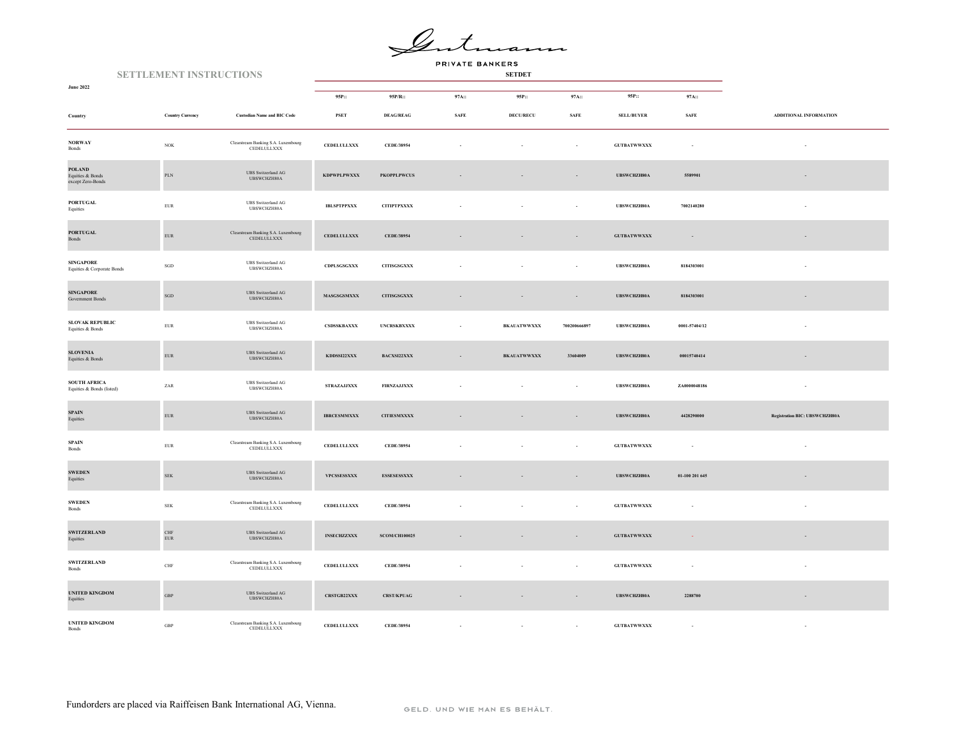$\mathscr{Q}_{\text{-}}$ 

PRIVATE BANKERS

| <b>SETTLEMENT INSTRUCTIONS</b>                         |                             |                                                                                   |                        |                        |             |                    |                          |                    |                |                                      |
|--------------------------------------------------------|-----------------------------|-----------------------------------------------------------------------------------|------------------------|------------------------|-------------|--------------------|--------------------------|--------------------|----------------|--------------------------------------|
| <b>June 2022</b>                                       |                             |                                                                                   | 95P::                  | 95P/R::                | 97A::       | 95P::              | 97A::                    | 95P::              | 97A::          |                                      |
| Country                                                | <b>Country Currency</b>     | <b>Custodian Name and BIC Code</b>                                                | <b>PSET</b>            | <b>DEAG/REAG</b>       | <b>SAFE</b> | <b>DECU/RECU</b>   | <b>SAFE</b>              | <b>SELL/BUYER</b>  | <b>SAFE</b>    | ADDITIONAL INFORMATION               |
| <b>NORWAY</b><br>Bonds                                 | $_{\mathrm{NOK}}$           | Clearstream Banking S.A. Luxembourg<br>CEDELULLXXX                                | ${\tt CEDELULLXXX}$    | CEDE/38954             |             |                    | $\sim$                   | <b>GUTBATWWXXX</b> | n.             |                                      |
| <b>POLAND</b><br>Equities & Bonds<br>except Zero-Bonds | $\mbox{PLN}$                | <b>UBS</b> Switzerland AG<br>UBSWCHZH80A                                          | <b>KDPWPLPWXXX</b>     | <b>PKOPPLPWCUS</b>     |             |                    | $\sim$                   | UBSWCHZH80A        | 5589901        |                                      |
| <b>PORTUGAL</b><br>Equities                            | ${\rm EUR}$                 | <b>UBS</b> Switzerland AG<br>UBSWCHZH80A                                          | <b>IBLSPTPPXXX</b>     | <b>CITIPTPXXXX</b>     |             |                    | ÷                        | UBSWCHZH80A        | 7002140280     |                                      |
| <b>PORTUGAL</b><br>Bonds                               | ${\rm EUR}$                 | Clearstream Banking S.A. Luxembourg<br>CEDELULLXXX                                | <b>CEDELULLXXX</b>     | CEDE/38954             |             |                    | $\overline{\phantom{a}}$ | <b>GUTBATWWXXX</b> | $\sim$         |                                      |
| <b>SINGAPORE</b><br>Equities & Corporate Bonds         | $_{\rm SGD}$                | <b>UBS</b> Switzerland AG<br>UBSWCHZH80A                                          | $\mathbf{CDPLSGSGXXX}$ | <b>CITISGSGXXX</b>     |             |                    | $\sim$                   | UBSWCHZH80A        | 8184303001     |                                      |
| <b>SINGAPORE</b><br>Government Bonds                   | $_{\rm SGD}$                | <b>UBS</b> Switzerland AG<br>UBSWCHZH80A                                          | <b>MASGSGSMXXX</b>     | <b>CITISGSGXXX</b>     |             | $\sim$             | $\overline{\phantom{a}}$ | UBSWCHZH80A        | 8184303001     | $\overline{a}$                       |
| <b>SLOVAK REPUBLIC</b><br>Equities & Bonds             | ${\rm EUR}$                 | <b>UBS</b> Switzerland AG<br>UBSWCHZH80A                                          | CSDSSKBAXXX            | <b>UNCRSKBXXXX</b>     |             | <b>BKAUATWWXXX</b> | 700200666897             | UBSWCHZH80A        | 0001-57404/12  |                                      |
| <b>SLOVENIA</b><br>Equities & Bonds                    | ${\rm EUR}$                 | <b>UBS</b> Switzerland AG<br>UBSWCHZH80A                                          | KDDSSI22XXX            | $\mathbf{BACXSI22XXX}$ |             | <b>BKAUATWWXXX</b> | 33604009                 | UBSWCHZH80A        | 00015740414    |                                      |
| <b>SOUTH AFRICA</b><br>Equities & Bonds (listed)       | ZAR                         | <b>UBS</b> Switzerland AG<br>UBSWCHZH80A                                          | <b>STRAZAJJXXX</b>     | <b>FIRNZAJJXXX</b>     |             |                    | $\overline{\phantom{a}}$ | UBSWCHZH80A        | ZA0000048186   | $\sim$                               |
| <b>SPAIN</b><br>Equities                               | ${\rm EUR}$                 | <b>UBS</b> Switzerland AG<br>UBSWCHZH80A                                          | <b>IBRCESMMXXX</b>     | <b>CITIESMXXXX</b>     |             |                    | $\sim$                   | <b>UBSWCHZH80A</b> | 4428290000     | <b>Registration BIC: UBSWCHZH80A</b> |
| <b>SPAIN</b><br>Bonds                                  | ${\rm EUR}$                 | Clearstream Banking S.A. Luxembourg<br>CEDELULLXXX                                | <b>CEDELULLXXX</b>     | CEDE/38954             |             |                    | ÷                        | <b>GUTBATWWXXX</b> | n.             |                                      |
| <b>SWEDEN</b><br>Equities                              | ${\rm SEK}$                 | $\ensuremath{\mathsf{UBS}}$ Switzerland $\ensuremath{\mathsf{AG}}$<br>UBSWCHZH80A | VPCSSESSXXX            | <b>ESSESESSXXX</b>     |             |                    | $\overline{\phantom{a}}$ | <b>UBSWCHZH80A</b> | 01-100 201 645 |                                      |
| <b>SWEDEN</b><br>Bonds                                 | ${\rm SEK}$                 | Clearstream Banking S.A. Luxembourg<br>CEDELULLXXX                                | <b>CEDELULLXXX</b>     | CEDE/38954             |             |                    |                          | <b>GUTBATWWXXX</b> |                |                                      |
| <b>SWITZERLAND</b><br>Equities                         | $\mbox{CHF}$<br>${\rm EUR}$ | <b>UBS</b> Switzerland AG<br>UBSWCHZH80A                                          | <b>INSECHZZXXX</b>     | <b>SCOM/CH100025</b>   |             | $\sim$             | $\sim$                   | <b>GUTBATWWXXX</b> | - 20           | $\sim$                               |
| <b>SWITZERLAND</b><br>Bonds                            | $\rm CHF$                   | Clearstream Banking S.A. Luxembourg<br>CEDELULLXXX                                | CEDELULLXXX            | CEDE/38954             |             |                    | $\sim$                   | <b>GUTBATWWXXX</b> | $\sim$         | $\sim$                               |
| <b>UNITED KINGDOM</b><br>Equities                      | <b>GBP</b>                  | $\ensuremath{\mathsf{UBS}}$ Switzerland $\ensuremath{\mathsf{AG}}$<br>UBSWCHZH80A | <b>CRSTGB22XXX</b>     | <b>CRST/KPUAG</b>      |             | $\sim$             | $\overline{\phantom{a}}$ | UBSWCHZH80A        | 2288700        | $\sim$                               |
| <b>UNITED KINGDOM</b><br>Bonds                         | GBP                         | Clearstream Banking S.A. Luxembourg<br>CEDELULLXXX                                | <b>CEDELULLXXX</b>     | CEDE/38954             |             | $\sim$             | $\sim$                   | <b>GUTBATWWXXX</b> | $\sim$         | $\sim$                               |